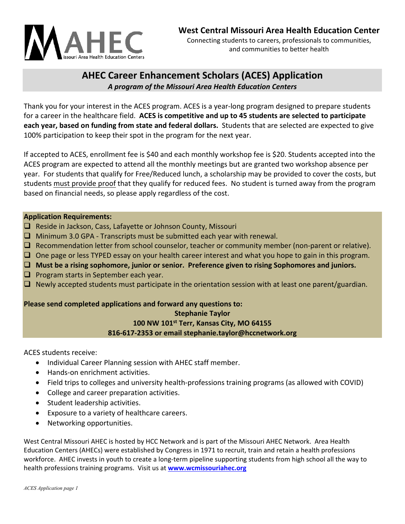

and communities to better health

# **AHEC Career Enhancement Scholars (ACES) Application** *A program of the Missouri Area Health Education Centers*

Thank you for your interest in the ACES program. ACES is a year‐long program designed to prepare students for a career in the healthcare field. **ACES is competitive and up to 45 students are selected to participate each year, based on funding from state and federal dollars.** Students that are selected are expected to give 100% participation to keep their spot in the program for the next year.

If accepted to ACES, enrollment fee is \$40 and each monthly workshop fee is \$20. Students accepted into the ACES program are expected to attend all the monthly meetings but are granted two workshop absence per year.For students that qualify for Free/Reduced lunch, a scholarship may be provided to cover the costs, but students must provide proof that they qualify for reduced fees. No student is turned away from the program based on financial needs, so please apply regardless of the cost.

## **Application Requirements:**

- $\Box$  Reside in Jackson, Cass, Lafayette or Johnson County, Missouri
- $\Box$  Minimum 3.0 GPA Transcripts must be submitted each year with renewal.
- $\Box$  Recommendation letter from school counselor, teacher or community member (non-parent or relative).
- $\Box$  One page or less TYPED essay on your health career interest and what you hope to gain in this program.
- **Must be a rising sophomore, junior or senior. Preference given to rising Sophomores and juniors.**
- $\Box$  Program starts in September each year.
- $\Box$  Newly accepted students must participate in the orientation session with at least one parent/guardian.

# **Please send completed applications and forward any questions to: Stephanie Taylor 100 NW 101st Terr, Kansas City, MO 64155 816‐617‐2353 or email stephanie.taylor@hccnetwork.org**

ACES students receive:

- Individual Career Planning session with AHEC staff member.
- Hands-on enrichment activities.
- Field trips to colleges and university health‐professions training programs (as allowed with COVID)
- College and career preparation activities.
- Student leadership activities.
- Exposure to a variety of healthcare careers.
- Networking opportunities.

West Central Missouri AHEC is hosted by HCC Network and is part of the Missouri AHEC Network. Area Health Education Centers (AHECs) were established by Congress in 1971 to recruit, train and retain a health professions workforce. AHEC invests in youth to create a long-term pipeline supporting students from high school all the way to health professions training programs. Visit us at **www.wcmissouriahec.org**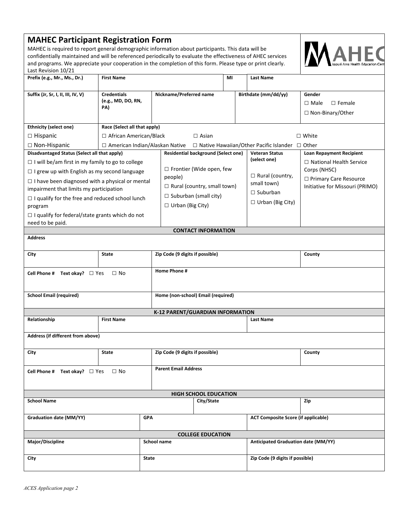| <b>MAHEC Participant Registration Form</b>                                                                                        |                                                          |                          |                                            |                  |    |                                            |                                       |                                                            |  |
|-----------------------------------------------------------------------------------------------------------------------------------|----------------------------------------------------------|--------------------------|--------------------------------------------|------------------|----|--------------------------------------------|---------------------------------------|------------------------------------------------------------|--|
| MAHEC is required to report general demographic information about participants. This data will be                                 |                                                          |                          |                                            |                  |    |                                            |                                       |                                                            |  |
| confidentially maintained and will be referenced periodically to evaluate the effectiveness of AHEC services                      |                                                          |                          |                                            |                  |    |                                            |                                       |                                                            |  |
| and programs. We appreciate your cooperation in the completion of this form. Please type or print clearly.<br>Last Revision 10/21 |                                                          |                          |                                            |                  |    |                                            |                                       |                                                            |  |
| Prefix (e.g., Mr., Ms., Dr.)                                                                                                      | <b>First Name</b>                                        |                          |                                            |                  | MI |                                            | <b>Last Name</b>                      |                                                            |  |
|                                                                                                                                   |                                                          |                          |                                            |                  |    |                                            |                                       |                                                            |  |
| Suffix (Jr, Sr, I, II, III, IV, V)                                                                                                | <b>Credentials</b>                                       |                          | Nickname/Preferred name                    |                  |    |                                            | Birthdate (mm/dd/yy)                  | Gender                                                     |  |
|                                                                                                                                   | (e.g., MD, DO, RN,                                       |                          |                                            |                  |    |                                            |                                       | $\square$ Male<br>$\Box$ Female                            |  |
|                                                                                                                                   | PA)                                                      |                          |                                            |                  |    |                                            |                                       | □ Non-Binary/Other                                         |  |
|                                                                                                                                   |                                                          |                          |                                            |                  |    |                                            |                                       |                                                            |  |
| <b>Ethnicity (select one)</b>                                                                                                     | Race (Select all that apply)                             |                          |                                            |                  |    |                                            |                                       |                                                            |  |
| □ Hispanic                                                                                                                        | □ African American/Black<br>$\Box$ White<br>$\Box$ Asian |                          |                                            |                  |    |                                            |                                       |                                                            |  |
| $\Box$ Non-Hispanic<br>$\Box$ American Indian/Alaskan Native $\Box$ Native Hawaiian/Other Pacific Islander $\Box$ Other           |                                                          |                          |                                            |                  |    |                                            |                                       |                                                            |  |
| Disadvantaged Status (Select all that apply)                                                                                      |                                                          |                          | <b>Residential background (Select one)</b> |                  |    |                                            | <b>Veteran Status</b><br>(select one) | <b>Loan Repayment Recipient</b>                            |  |
| $\Box$ I will be/am first in my family to go to college                                                                           |                                                          |                          |                                            |                  |    |                                            |                                       | □ National Health Service                                  |  |
| $\Box$ I grew up with English as my second language                                                                               |                                                          |                          | □ Frontier (Wide open, few<br>people)      |                  |    |                                            | $\Box$ Rural (country,                | Corps (NHSC)                                               |  |
| $\Box$ I have been diagnosed with a physical or mental                                                                            |                                                          |                          | $\Box$ Rural (country, small town)         |                  |    |                                            | small town)                           | □ Primary Care Resource<br>Initiative for Missouri (PRIMO) |  |
| impairment that limits my participation                                                                                           |                                                          |                          |                                            |                  |    |                                            | $\Box$ Suburban                       |                                                            |  |
| $\Box$ I qualify for the free and reduced school lunch                                                                            |                                                          |                          | $\Box$ Suburban (small city)               |                  |    |                                            | $\Box$ Urban (Big City)               |                                                            |  |
| program                                                                                                                           |                                                          |                          | $\Box$ Urban (Big City)                    |                  |    |                                            |                                       |                                                            |  |
| $\Box$ I qualify for federal/state grants which do not                                                                            |                                                          |                          |                                            |                  |    |                                            |                                       |                                                            |  |
| need to be paid.                                                                                                                  |                                                          |                          |                                            |                  |    |                                            |                                       |                                                            |  |
| <b>CONTACT INFORMATION</b><br><b>Address</b>                                                                                      |                                                          |                          |                                            |                  |    |                                            |                                       |                                                            |  |
|                                                                                                                                   |                                                          |                          |                                            |                  |    |                                            |                                       |                                                            |  |
| City<br><b>State</b>                                                                                                              |                                                          |                          | Zip Code (9 digits if possible)            |                  |    |                                            |                                       | County                                                     |  |
| Home Phone #<br>Cell Phone # Text okay? $\Box$ Yes<br>$\Box$ No                                                                   |                                                          |                          |                                            |                  |    |                                            |                                       |                                                            |  |
|                                                                                                                                   |                                                          |                          |                                            |                  |    |                                            |                                       |                                                            |  |
| <b>School Email (required)</b>                                                                                                    |                                                          |                          | Home (non-school) Email (required)         |                  |    |                                            |                                       |                                                            |  |
| K-12 PARENT/GUARDIAN INFORMATION                                                                                                  |                                                          |                          |                                            |                  |    |                                            |                                       |                                                            |  |
| Relationship<br><b>First Name</b>                                                                                                 |                                                          |                          |                                            | <b>Last Name</b> |    |                                            |                                       |                                                            |  |
|                                                                                                                                   |                                                          |                          |                                            |                  |    |                                            |                                       |                                                            |  |
| Address (if different from above)                                                                                                 |                                                          |                          |                                            |                  |    |                                            |                                       |                                                            |  |
| City                                                                                                                              | Zip Code (9 digits if possible)<br><b>State</b>          |                          |                                            |                  |    |                                            |                                       | County                                                     |  |
| Cell Phone # Text okay? $\Box$ Yes<br>$\Box$ No                                                                                   |                                                          |                          | <b>Parent Email Address</b>                |                  |    |                                            |                                       |                                                            |  |
|                                                                                                                                   |                                                          |                          |                                            |                  |    |                                            |                                       |                                                            |  |
| <b>HIGH SCHOOL EDUCATION</b>                                                                                                      |                                                          |                          |                                            |                  |    |                                            |                                       |                                                            |  |
| <b>School Name</b>                                                                                                                |                                                          |                          | City/State                                 |                  |    |                                            |                                       | Zip                                                        |  |
| Graduation date (MM/YY)<br><b>GPA</b>                                                                                             |                                                          |                          |                                            |                  |    | <b>ACT Composite Score (if applicable)</b> |                                       |                                                            |  |
|                                                                                                                                   |                                                          | <b>COLLEGE EDUCATION</b> |                                            |                  |    |                                            |                                       |                                                            |  |
| Major/Discipline                                                                                                                  |                                                          |                          | School name                                |                  |    |                                            | Anticipated Graduation date (MM/YY)   |                                                            |  |
| <b>City</b>                                                                                                                       |                                                          | State                    |                                            |                  |    |                                            | Zip Code (9 digits if possible)       |                                                            |  |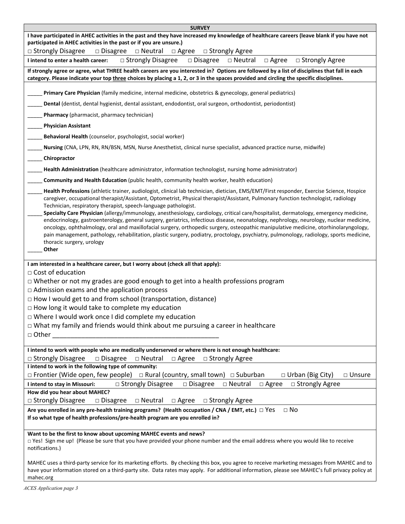| <b>SURVEY</b>                                                                                                                                                                                                                                                                                                                                                                                                                                                                                                                                                                                                                                                                                                                                                                                                                                                                                                                                                   |  |  |  |  |  |  |  |
|-----------------------------------------------------------------------------------------------------------------------------------------------------------------------------------------------------------------------------------------------------------------------------------------------------------------------------------------------------------------------------------------------------------------------------------------------------------------------------------------------------------------------------------------------------------------------------------------------------------------------------------------------------------------------------------------------------------------------------------------------------------------------------------------------------------------------------------------------------------------------------------------------------------------------------------------------------------------|--|--|--|--|--|--|--|
| I have participated in AHEC activities in the past and they have increased my knowledge of healthcare careers (leave blank if you have not<br>participated in AHEC activities in the past or if you are unsure.)                                                                                                                                                                                                                                                                                                                                                                                                                                                                                                                                                                                                                                                                                                                                                |  |  |  |  |  |  |  |
| $\Box$ Strongly Disagree<br>$\Box$ Disagree<br>$\Box$ Neutral<br>$\Box$ Agree<br>□ Strongly Agree                                                                                                                                                                                                                                                                                                                                                                                                                                                                                                                                                                                                                                                                                                                                                                                                                                                               |  |  |  |  |  |  |  |
| $\Box$ Disagree<br>$\Box$ Strongly Disagree<br>□ Neutral<br>$\Box$ Agree<br>$\Box$ Strongly Agree<br>I intend to enter a health career:                                                                                                                                                                                                                                                                                                                                                                                                                                                                                                                                                                                                                                                                                                                                                                                                                         |  |  |  |  |  |  |  |
| If strongly agree or agree, what THREE health careers are you interested in? Options are followed by a list of disciplines that fall in each<br>category. Please indicate your top three choices by placing a 1, 2, or 3 in the spaces provided and circling the specific disciplines.                                                                                                                                                                                                                                                                                                                                                                                                                                                                                                                                                                                                                                                                          |  |  |  |  |  |  |  |
| Primary Care Physician (family medicine, internal medicine, obstetrics & gynecology, general pediatrics)                                                                                                                                                                                                                                                                                                                                                                                                                                                                                                                                                                                                                                                                                                                                                                                                                                                        |  |  |  |  |  |  |  |
| Dental (dentist, dental hygienist, dental assistant, endodontist, oral surgeon, orthodontist, periodontist)                                                                                                                                                                                                                                                                                                                                                                                                                                                                                                                                                                                                                                                                                                                                                                                                                                                     |  |  |  |  |  |  |  |
| Pharmacy (pharmacist, pharmacy technician)                                                                                                                                                                                                                                                                                                                                                                                                                                                                                                                                                                                                                                                                                                                                                                                                                                                                                                                      |  |  |  |  |  |  |  |
| <b>Physician Assistant</b>                                                                                                                                                                                                                                                                                                                                                                                                                                                                                                                                                                                                                                                                                                                                                                                                                                                                                                                                      |  |  |  |  |  |  |  |
| Behavioral Health (counselor, psychologist, social worker)                                                                                                                                                                                                                                                                                                                                                                                                                                                                                                                                                                                                                                                                                                                                                                                                                                                                                                      |  |  |  |  |  |  |  |
| Nursing (CNA, LPN, RN, RN/BSN, MSN, Nurse Anesthetist, clinical nurse specialist, advanced practice nurse, midwife)                                                                                                                                                                                                                                                                                                                                                                                                                                                                                                                                                                                                                                                                                                                                                                                                                                             |  |  |  |  |  |  |  |
| Chiropractor                                                                                                                                                                                                                                                                                                                                                                                                                                                                                                                                                                                                                                                                                                                                                                                                                                                                                                                                                    |  |  |  |  |  |  |  |
| Health Administration (healthcare administrator, information technologist, nursing home administrator)                                                                                                                                                                                                                                                                                                                                                                                                                                                                                                                                                                                                                                                                                                                                                                                                                                                          |  |  |  |  |  |  |  |
| Community and Health Education (public health, community health worker, health education)                                                                                                                                                                                                                                                                                                                                                                                                                                                                                                                                                                                                                                                                                                                                                                                                                                                                       |  |  |  |  |  |  |  |
| Health Professions (athletic trainer, audiologist, clinical lab technician, dietician, EMS/EMT/First responder, Exercise Science, Hospice<br>caregiver, occupational therapist/Assistant, Optometrist, Physical therapist/Assistant, Pulmonary function technologist, radiology<br>Technician, respiratory therapist, speech-language pathologist.<br>Specialty Care Physician (allergy/immunology, anesthesiology, cardiology, critical care/hospitalist, dermatology, emergency medicine,<br>endocrinology, gastroenterology, general surgery, geriatrics, infectious disease, neonatology, nephrology, neurology, nuclear medicine,<br>oncology, ophthalmology, oral and maxillofacial surgery, orthopedic surgery, osteopathic manipulative medicine, otorhinolaryngology,<br>pain management, pathology, rehabilitation, plastic surgery, podiatry, proctology, psychiatry, pulmonology, radiology, sports medicine,<br>thoracic surgery, urology<br>Other |  |  |  |  |  |  |  |
| I am interested in a healthcare career, but I worry about (check all that apply):                                                                                                                                                                                                                                                                                                                                                                                                                                                                                                                                                                                                                                                                                                                                                                                                                                                                               |  |  |  |  |  |  |  |
| $\Box$ Cost of education<br>$\Box$ Whether or not my grades are good enough to get into a health professions program                                                                                                                                                                                                                                                                                                                                                                                                                                                                                                                                                                                                                                                                                                                                                                                                                                            |  |  |  |  |  |  |  |
| $\Box$ Admission exams and the application process                                                                                                                                                                                                                                                                                                                                                                                                                                                                                                                                                                                                                                                                                                                                                                                                                                                                                                              |  |  |  |  |  |  |  |
| $\Box$ How I would get to and from school (transportation, distance)                                                                                                                                                                                                                                                                                                                                                                                                                                                                                                                                                                                                                                                                                                                                                                                                                                                                                            |  |  |  |  |  |  |  |
| $\Box$ How long it would take to complete my education                                                                                                                                                                                                                                                                                                                                                                                                                                                                                                                                                                                                                                                                                                                                                                                                                                                                                                          |  |  |  |  |  |  |  |
| $\Box$ Where I would work once I did complete my education                                                                                                                                                                                                                                                                                                                                                                                                                                                                                                                                                                                                                                                                                                                                                                                                                                                                                                      |  |  |  |  |  |  |  |
| □ What my family and friends would think about me pursuing a career in healthcare                                                                                                                                                                                                                                                                                                                                                                                                                                                                                                                                                                                                                                                                                                                                                                                                                                                                               |  |  |  |  |  |  |  |
| □ Other                                                                                                                                                                                                                                                                                                                                                                                                                                                                                                                                                                                                                                                                                                                                                                                                                                                                                                                                                         |  |  |  |  |  |  |  |
| I intend to work with people who are medically underserved or where there is not enough healthcare:<br>$\Box$ Strongly Disagree<br>$\Box$ Disagree<br>$\Box$ Neutral<br>$\Box$ Agree<br>$\Box$ Strongly Agree                                                                                                                                                                                                                                                                                                                                                                                                                                                                                                                                                                                                                                                                                                                                                   |  |  |  |  |  |  |  |
| I intend to work in the following type of community:                                                                                                                                                                                                                                                                                                                                                                                                                                                                                                                                                                                                                                                                                                                                                                                                                                                                                                            |  |  |  |  |  |  |  |
| $\Box$ Frontier (Wide open, few people) $\Box$ Rural (country, small town) $\Box$ Suburban<br>$\Box$ Urban (Big City)<br>$\square$ Unsure                                                                                                                                                                                                                                                                                                                                                                                                                                                                                                                                                                                                                                                                                                                                                                                                                       |  |  |  |  |  |  |  |
| □ Strongly Disagree<br>$\square$ Disagree<br>$\Box$ Neutral<br>□ Strongly Agree<br>$\Box$ Agree<br>I intend to stay in Missouri:                                                                                                                                                                                                                                                                                                                                                                                                                                                                                                                                                                                                                                                                                                                                                                                                                                |  |  |  |  |  |  |  |
| How did you hear about MAHEC?<br>$\Box$ Strongly Disagree<br>$\Box$ Disagree<br>$\Box$ Neutral<br>$\Box$ Strongly Agree                                                                                                                                                                                                                                                                                                                                                                                                                                                                                                                                                                                                                                                                                                                                                                                                                                         |  |  |  |  |  |  |  |
| $\Box$ Agree<br>$\Box$ No<br>Are you enrolled in any pre-health training programs? (Health occupation / CNA / EMT, etc.) $\Box$ Yes                                                                                                                                                                                                                                                                                                                                                                                                                                                                                                                                                                                                                                                                                                                                                                                                                             |  |  |  |  |  |  |  |
| If so what type of health professions/pre-health program are you enrolled in?                                                                                                                                                                                                                                                                                                                                                                                                                                                                                                                                                                                                                                                                                                                                                                                                                                                                                   |  |  |  |  |  |  |  |
| Want to be the first to know about upcoming MAHEC events and news?<br>□ Yes! Sign me up! (Please be sure that you have provided your phone number and the email address where you would like to receive<br>notifications.)                                                                                                                                                                                                                                                                                                                                                                                                                                                                                                                                                                                                                                                                                                                                      |  |  |  |  |  |  |  |
| MAHEC uses a third-party service for its marketing efforts. By checking this box, you agree to receive marketing messages from MAHEC and to<br>have your information stored on a third-party site. Data rates may apply. For additional information, please see MAHEC's full privacy policy at<br>mahec.org                                                                                                                                                                                                                                                                                                                                                                                                                                                                                                                                                                                                                                                     |  |  |  |  |  |  |  |

*ACES Application page 3*